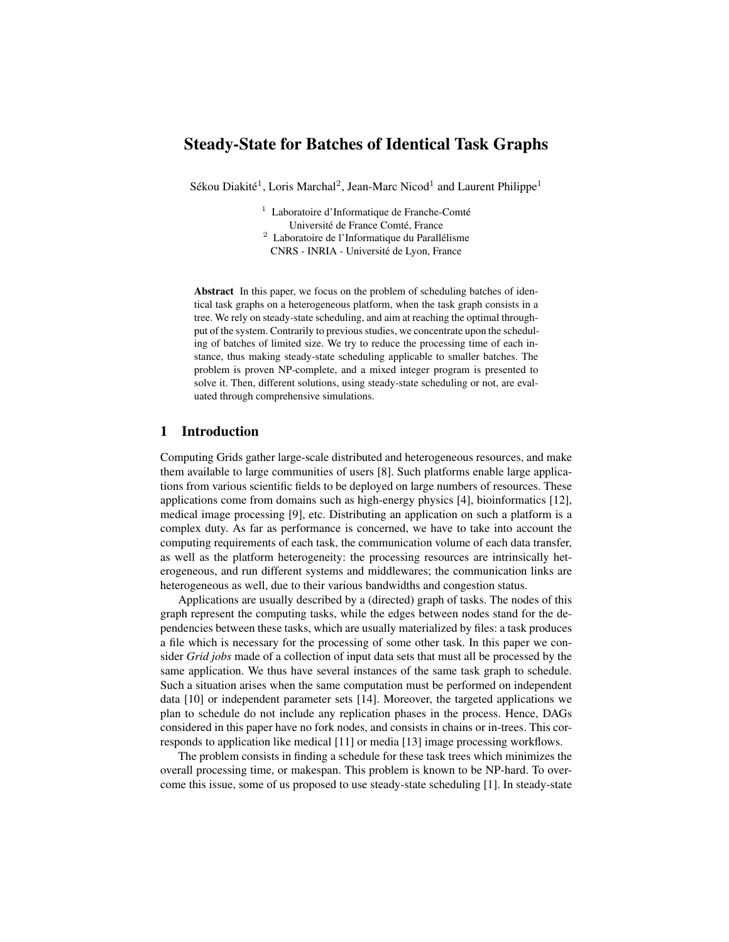# Steady-State for Batches of Identical Task Graphs

Sékou Diakité<sup>1</sup>, Loris Marchal<sup>2</sup>, Jean-Marc Nicod<sup>1</sup> and Laurent Philippe<sup>1</sup>

<sup>1</sup> Laboratoire d'Informatique de Franche-Comté Université de France Comté, France

 $2$  Laboratoire de l'Informatique du Parallélisme

CNRS - INRIA - Universite de Lyon, France ´

Abstract In this paper, we focus on the problem of scheduling batches of identical task graphs on a heterogeneous platform, when the task graph consists in a tree. We rely on steady-state scheduling, and aim at reaching the optimal throughput of the system. Contrarily to previous studies, we concentrate upon the scheduling of batches of limited size. We try to reduce the processing time of each instance, thus making steady-state scheduling applicable to smaller batches. The problem is proven NP-complete, and a mixed integer program is presented to solve it. Then, different solutions, using steady-state scheduling or not, are evaluated through comprehensive simulations.

## 1 Introduction

Computing Grids gather large-scale distributed and heterogeneous resources, and make them available to large communities of users [8]. Such platforms enable large applications from various scientific fields to be deployed on large numbers of resources. These applications come from domains such as high-energy physics [4], bioinformatics [12], medical image processing [9], etc. Distributing an application on such a platform is a complex duty. As far as performance is concerned, we have to take into account the computing requirements of each task, the communication volume of each data transfer, as well as the platform heterogeneity: the processing resources are intrinsically heterogeneous, and run different systems and middlewares; the communication links are heterogeneous as well, due to their various bandwidths and congestion status.

Applications are usually described by a (directed) graph of tasks. The nodes of this graph represent the computing tasks, while the edges between nodes stand for the dependencies between these tasks, which are usually materialized by files: a task produces a file which is necessary for the processing of some other task. In this paper we consider *Grid jobs* made of a collection of input data sets that must all be processed by the same application. We thus have several instances of the same task graph to schedule. Such a situation arises when the same computation must be performed on independent data [10] or independent parameter sets [14]. Moreover, the targeted applications we plan to schedule do not include any replication phases in the process. Hence, DAGs considered in this paper have no fork nodes, and consists in chains or in-trees. This corresponds to application like medical [11] or media [13] image processing workflows.

The problem consists in finding a schedule for these task trees which minimizes the overall processing time, or makespan. This problem is known to be NP-hard. To overcome this issue, some of us proposed to use steady-state scheduling [1]. In steady-state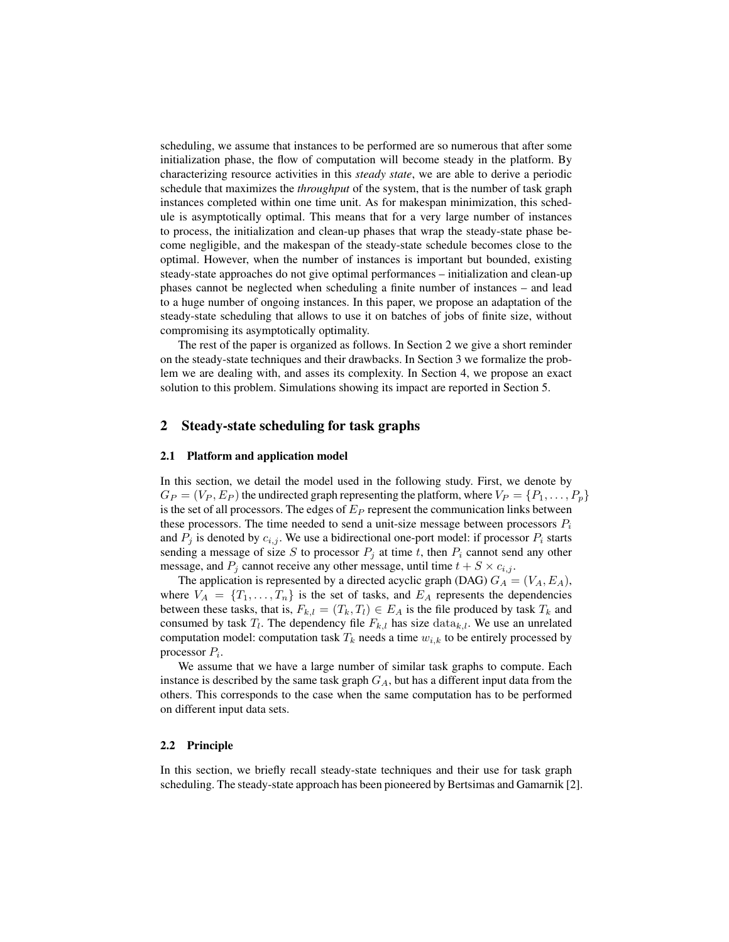scheduling, we assume that instances to be performed are so numerous that after some initialization phase, the flow of computation will become steady in the platform. By characterizing resource activities in this *steady state*, we are able to derive a periodic schedule that maximizes the *throughput* of the system, that is the number of task graph instances completed within one time unit. As for makespan minimization, this schedule is asymptotically optimal. This means that for a very large number of instances to process, the initialization and clean-up phases that wrap the steady-state phase become negligible, and the makespan of the steady-state schedule becomes close to the optimal. However, when the number of instances is important but bounded, existing steady-state approaches do not give optimal performances – initialization and clean-up phases cannot be neglected when scheduling a finite number of instances – and lead to a huge number of ongoing instances. In this paper, we propose an adaptation of the steady-state scheduling that allows to use it on batches of jobs of finite size, without compromising its asymptotically optimality.

The rest of the paper is organized as follows. In Section 2 we give a short reminder on the steady-state techniques and their drawbacks. In Section 3 we formalize the problem we are dealing with, and asses its complexity. In Section 4, we propose an exact solution to this problem. Simulations showing its impact are reported in Section 5.

### 2 Steady-state scheduling for task graphs

### 2.1 Platform and application model

In this section, we detail the model used in the following study. First, we denote by  $G_P = (V_P, E_P)$  the undirected graph representing the platform, where  $V_P = \{P_1, \ldots, P_p\}$ is the set of all processors. The edges of  $E<sub>P</sub>$  represent the communication links between these processors. The time needed to send a unit-size message between processors  $P_i$ and  $P_i$  is denoted by  $c_{i,j}$ . We use a bidirectional one-port model: if processor  $P_i$  starts sending a message of size S to processor  $P_i$  at time t, then  $P_i$  cannot send any other message, and  $P_j$  cannot receive any other message, until time  $t + S \times c_{i,j}$ .

The application is represented by a directed acyclic graph (DAG)  $G_A = (V_A, E_A)$ , where  $V_A = \{T_1, \ldots, T_n\}$  is the set of tasks, and  $E_A$  represents the dependencies between these tasks, that is,  $F_{k,l} = (T_k, T_l) \in E_A$  is the file produced by task  $T_k$  and consumed by task  $T_l$ . The dependency file  $F_{k,l}$  has size  $data_{k,l}$ . We use an unrelated computation model: computation task  $T_k$  needs a time  $w_{i,k}$  to be entirely processed by processor  $P_i$ .

We assume that we have a large number of similar task graphs to compute. Each instance is described by the same task graph  $G_A$ , but has a different input data from the others. This corresponds to the case when the same computation has to be performed on different input data sets.

### 2.2 Principle

In this section, we briefly recall steady-state techniques and their use for task graph scheduling. The steady-state approach has been pioneered by Bertsimas and Gamarnik [2].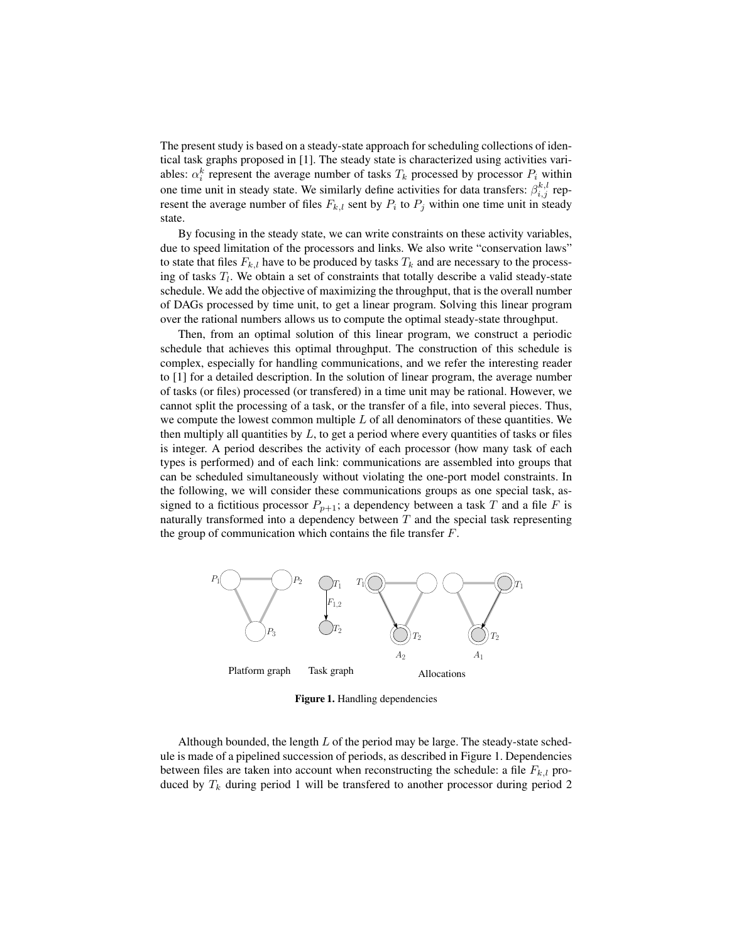The present study is based on a steady-state approach for scheduling collections of identical task graphs proposed in [1]. The steady state is characterized using activities variables:  $\alpha_i^k$  represent the average number of tasks  $T_k$  processed by processor  $P_i$  within one time unit in steady state. We similarly define activities for data transfers:  $\beta_{i,j}^{k,l}$  represent the average number of files  $F_{k,l}$  sent by  $P_i$  to  $P_j$  within one time unit in steady state.

By focusing in the steady state, we can write constraints on these activity variables, due to speed limitation of the processors and links. We also write "conservation laws" to state that files  $F_{k,l}$  have to be produced by tasks  $T_k$  and are necessary to the processing of tasks  $T_l$ . We obtain a set of constraints that totally describe a valid steady-state schedule. We add the objective of maximizing the throughput, that is the overall number of DAGs processed by time unit, to get a linear program. Solving this linear program over the rational numbers allows us to compute the optimal steady-state throughput.

Then, from an optimal solution of this linear program, we construct a periodic schedule that achieves this optimal throughput. The construction of this schedule is complex, especially for handling communications, and we refer the interesting reader to [1] for a detailed description. In the solution of linear program, the average number of tasks (or files) processed (or transfered) in a time unit may be rational. However, we cannot split the processing of a task, or the transfer of a file, into several pieces. Thus, we compute the lowest common multiple  $L$  of all denominators of these quantities. We then multiply all quantities by  $L$ , to get a period where every quantities of tasks or files is integer. A period describes the activity of each processor (how many task of each types is performed) and of each link: communications are assembled into groups that can be scheduled simultaneously without violating the one-port model constraints. In the following, we will consider these communications groups as one special task, assigned to a fictitious processor  $P_{p+1}$ ; a dependency between a task T and a file F is naturally transformed into a dependency between  $T$  and the special task representing the group of communication which contains the file transfer  $F$ .



Figure 1. Handling dependencies

Although bounded, the length  $L$  of the period may be large. The steady-state schedule is made of a pipelined succession of periods, as described in Figure 1. Dependencies between files are taken into account when reconstructing the schedule: a file  $F_{k,l}$  produced by  $T_k$  during period 1 will be transfered to another processor during period 2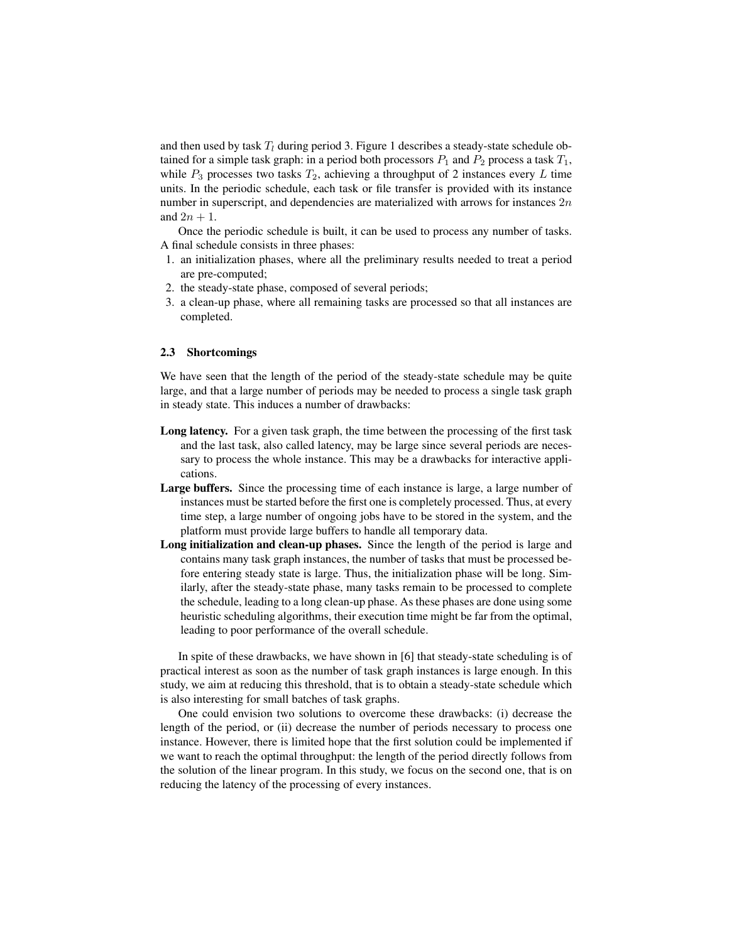and then used by task  $T_l$  during period 3. Figure 1 describes a steady-state schedule obtained for a simple task graph: in a period both processors  $P_1$  and  $P_2$  process a task  $T_1$ , while  $P_3$  processes two tasks  $T_2$ , achieving a throughput of 2 instances every L time units. In the periodic schedule, each task or file transfer is provided with its instance number in superscript, and dependencies are materialized with arrows for instances  $2n$ and  $2n + 1$ .

Once the periodic schedule is built, it can be used to process any number of tasks. A final schedule consists in three phases:

- 1. an initialization phases, where all the preliminary results needed to treat a period are pre-computed;
- 2. the steady-state phase, composed of several periods;
- 3. a clean-up phase, where all remaining tasks are processed so that all instances are completed.

### 2.3 Shortcomings

We have seen that the length of the period of the steady-state schedule may be quite large, and that a large number of periods may be needed to process a single task graph in steady state. This induces a number of drawbacks:

- Long latency. For a given task graph, the time between the processing of the first task and the last task, also called latency, may be large since several periods are necessary to process the whole instance. This may be a drawbacks for interactive applications.
- Large buffers. Since the processing time of each instance is large, a large number of instances must be started before the first one is completely processed. Thus, at every time step, a large number of ongoing jobs have to be stored in the system, and the platform must provide large buffers to handle all temporary data.
- Long initialization and clean-up phases. Since the length of the period is large and contains many task graph instances, the number of tasks that must be processed before entering steady state is large. Thus, the initialization phase will be long. Similarly, after the steady-state phase, many tasks remain to be processed to complete the schedule, leading to a long clean-up phase. As these phases are done using some heuristic scheduling algorithms, their execution time might be far from the optimal, leading to poor performance of the overall schedule.

In spite of these drawbacks, we have shown in [6] that steady-state scheduling is of practical interest as soon as the number of task graph instances is large enough. In this study, we aim at reducing this threshold, that is to obtain a steady-state schedule which is also interesting for small batches of task graphs.

One could envision two solutions to overcome these drawbacks: (i) decrease the length of the period, or (ii) decrease the number of periods necessary to process one instance. However, there is limited hope that the first solution could be implemented if we want to reach the optimal throughput: the length of the period directly follows from the solution of the linear program. In this study, we focus on the second one, that is on reducing the latency of the processing of every instances.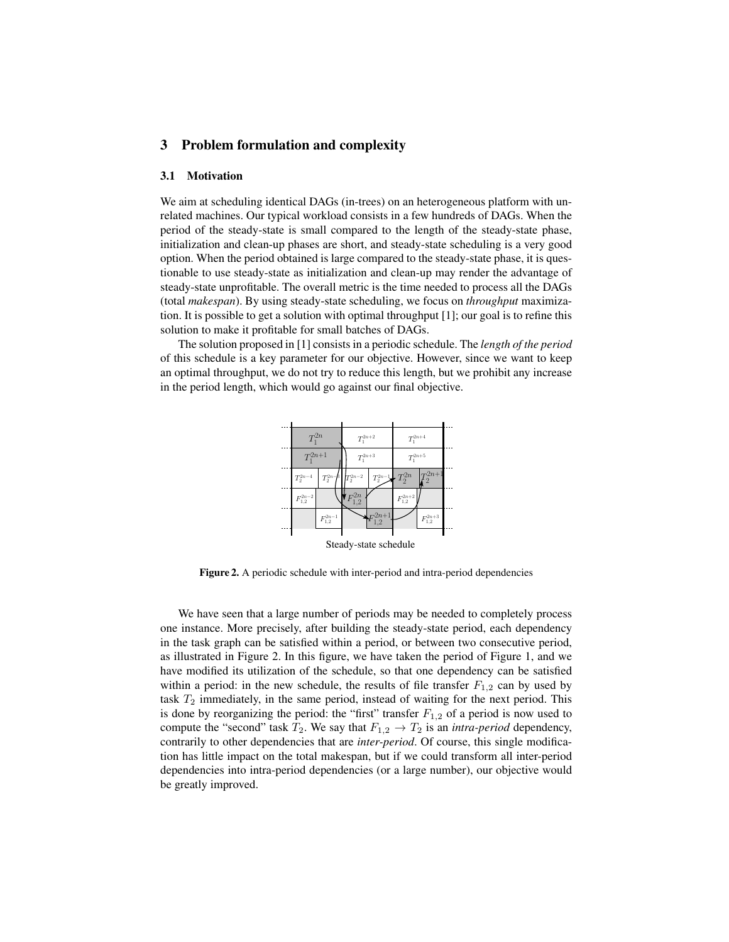## 3 Problem formulation and complexity

### 3.1 Motivation

We aim at scheduling identical DAGs (in-trees) on an heterogeneous platform with unrelated machines. Our typical workload consists in a few hundreds of DAGs. When the period of the steady-state is small compared to the length of the steady-state phase, initialization and clean-up phases are short, and steady-state scheduling is a very good option. When the period obtained is large compared to the steady-state phase, it is questionable to use steady-state as initialization and clean-up may render the advantage of steady-state unprofitable. The overall metric is the time needed to process all the DAGs (total *makespan*). By using steady-state scheduling, we focus on *throughput* maximization. It is possible to get a solution with optimal throughput [1]; our goal is to refine this solution to make it profitable for small batches of DAGs.

The solution proposed in [1] consists in a periodic schedule. The *length of the period* of this schedule is a key parameter for our objective. However, since we want to keep an optimal throughput, we do not try to reduce this length, but we prohibit any increase in the period length, which would go against our final objective.



Steady-state schedule

Figure 2. A periodic schedule with inter-period and intra-period dependencies

We have seen that a large number of periods may be needed to completely process one instance. More precisely, after building the steady-state period, each dependency in the task graph can be satisfied within a period, or between two consecutive period, as illustrated in Figure 2. In this figure, we have taken the period of Figure 1, and we have modified its utilization of the schedule, so that one dependency can be satisfied within a period: in the new schedule, the results of file transfer  $F_{1,2}$  can by used by task  $T_2$  immediately, in the same period, instead of waiting for the next period. This is done by reorganizing the period: the "first" transfer  $F_{1,2}$  of a period is now used to compute the "second" task  $T_2$ . We say that  $F_{1,2} \to T_2$  is an *intra-period* dependency, contrarily to other dependencies that are *inter-period*. Of course, this single modification has little impact on the total makespan, but if we could transform all inter-period dependencies into intra-period dependencies (or a large number), our objective would be greatly improved.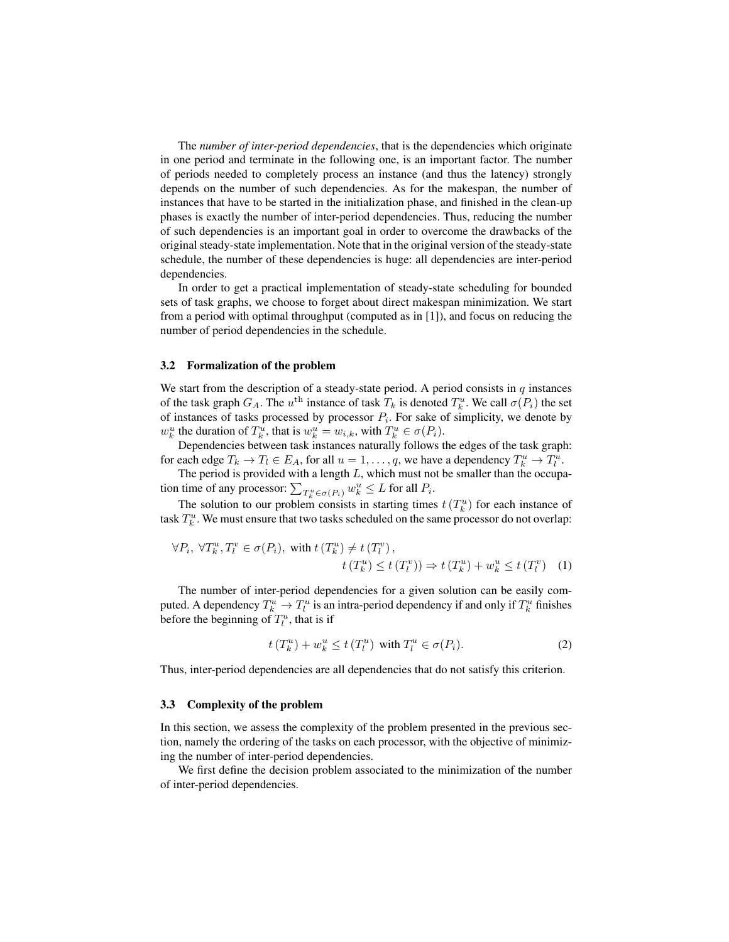The *number of inter-period dependencies*, that is the dependencies which originate in one period and terminate in the following one, is an important factor. The number of periods needed to completely process an instance (and thus the latency) strongly depends on the number of such dependencies. As for the makespan, the number of instances that have to be started in the initialization phase, and finished in the clean-up phases is exactly the number of inter-period dependencies. Thus, reducing the number of such dependencies is an important goal in order to overcome the drawbacks of the original steady-state implementation. Note that in the original version of the steady-state schedule, the number of these dependencies is huge: all dependencies are inter-period dependencies.

In order to get a practical implementation of steady-state scheduling for bounded sets of task graphs, we choose to forget about direct makespan minimization. We start from a period with optimal throughput (computed as in [1]), and focus on reducing the number of period dependencies in the schedule.

#### 3.2 Formalization of the problem

We start from the description of a steady-state period. A period consists in  $q$  instances of the task graph  $G_A$ . The  $u^{\text{th}}$  instance of task  $T_k$  is denoted  $T_k^u$ . We call  $\sigma(P_i)$  the set of instances of tasks processed by processor  $P_i$ . For sake of simplicity, we denote by  $w_k^u$  the duration of  $T_k^u$ , that is  $w_k^u = w_{i,k}$ , with  $T_k^u \in \sigma(P_i)$ .

Dependencies between task instances naturally follows the edges of the task graph: for each edge  $T_k \to T_l \in E_A$ , for all  $u = 1, \ldots, q$ , we have a dependency  $T_k^u \to T_l^u$ .

The period is provided with a length  $L$ , which must not be smaller than the occupation time of any processor:  $\sum_{T_k^u \in \sigma(P_i)} w_k^u \leq L$  for all  $P_i$ .

The solution to our problem consists in starting times  $t(T_k^u)$  for each instance of task  $T_k^u$ . We must ensure that two tasks scheduled on the same processor do not overlap:

$$
\forall P_i, \ \forall T_k^u, T_l^v \in \sigma(P_i), \text{ with } t(T_k^u) \neq t(T_l^v),
$$

$$
t(T_k^u) \leq t(T_l^v)) \Rightarrow t(T_k^u) + w_k^u \leq t(T_l^v) \quad (1)
$$

The number of inter-period dependencies for a given solution can be easily computed. A dependency  $T_k^u \to T_l^u$  is an intra-period dependency if and only if  $T_k^u$  finishes before the beginning of  $T_l^u$ , that is if

$$
t(T_k^u) + w_k^u \le t(T_l^u) \text{ with } T_l^u \in \sigma(P_i). \tag{2}
$$

Thus, inter-period dependencies are all dependencies that do not satisfy this criterion.

### 3.3 Complexity of the problem

In this section, we assess the complexity of the problem presented in the previous section, namely the ordering of the tasks on each processor, with the objective of minimizing the number of inter-period dependencies.

We first define the decision problem associated to the minimization of the number of inter-period dependencies.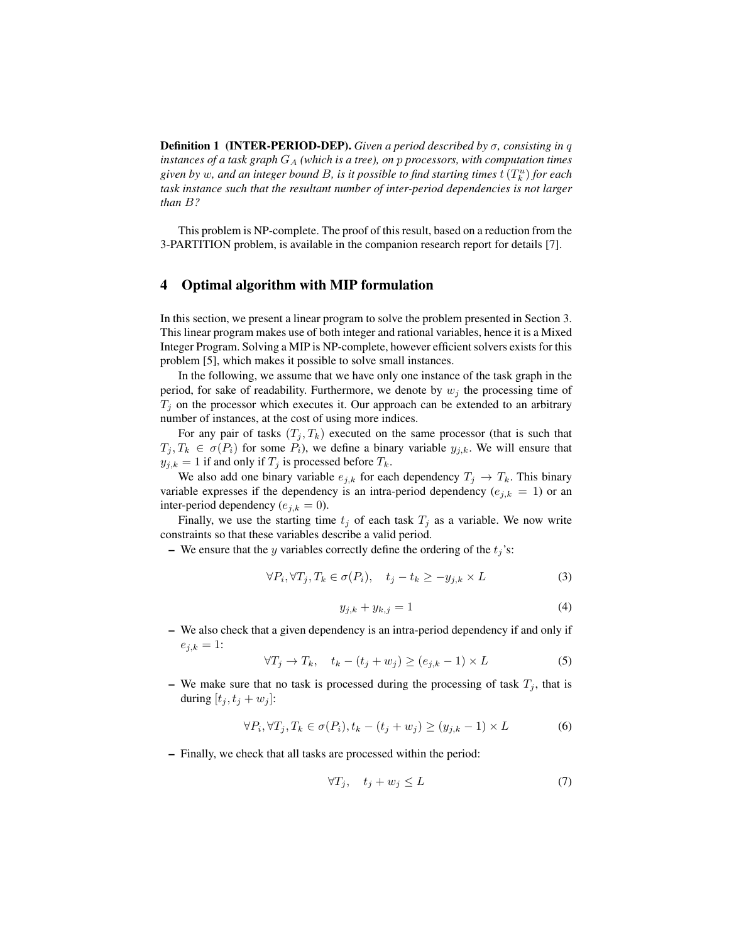Definition 1 (INTER-PERIOD-DEP). *Given a period described by* σ*, consisting in* q *instances of a task graph*  $G_A$  (which is a tree), on p processors, with computation times given by  $w$ , and an integer bound  $B$ , is it possible to find starting times  $t\left(T^u_k\right)$  for each *task instance such that the resultant number of inter-period dependencies is not larger than* B*?*

This problem is NP-complete. The proof of this result, based on a reduction from the 3-PARTITION problem, is available in the companion research report for details [7].

### 4 Optimal algorithm with MIP formulation

In this section, we present a linear program to solve the problem presented in Section 3. This linear program makes use of both integer and rational variables, hence it is a Mixed Integer Program. Solving a MIP is NP-complete, however efficient solvers exists for this problem [5], which makes it possible to solve small instances.

In the following, we assume that we have only one instance of the task graph in the period, for sake of readability. Furthermore, we denote by  $w_j$  the processing time of  $T_j$  on the processor which executes it. Our approach can be extended to an arbitrary number of instances, at the cost of using more indices.

For any pair of tasks  $(T_i, T_k)$  executed on the same processor (that is such that  $T_i, T_k \in \sigma(P_i)$  for some  $P_i$ ), we define a binary variable  $y_{i,k}$ . We will ensure that  $y_{j,k} = 1$  if and only if  $T_j$  is processed before  $T_k$ .

We also add one binary variable  $e_{j,k}$  for each dependency  $T_j \to T_k$ . This binary variable expresses if the dependency is an intra-period dependency ( $e_{j,k} = 1$ ) or an inter-period dependency ( $e_{j,k} = 0$ ).

Finally, we use the starting time  $t_j$  of each task  $T_j$  as a variable. We now write constraints so that these variables describe a valid period.

– We ensure that the y variables correctly define the ordering of the  $t_i$ 's:

$$
\forall P_i, \forall T_j, T_k \in \sigma(P_i), \quad t_j - t_k \ge -y_{j,k} \times L \tag{3}
$$

$$
y_{j,k} + y_{k,j} = 1\tag{4}
$$

– We also check that a given dependency is an intra-period dependency if and only if  $e_{j,k} = 1$ :

$$
\forall T_j \to T_k, \quad t_k - (t_j + w_j) \ge (e_{j,k} - 1) \times L \tag{5}
$$

– We make sure that no task is processed during the processing of task  $T_j$ , that is during  $[t_j, t_j + w_j]$ :

$$
\forall P_i, \forall T_j, T_k \in \sigma(P_i), t_k - (t_j + w_j) \ge (y_{j,k} - 1) \times L \tag{6}
$$

– Finally, we check that all tasks are processed within the period:

$$
\forall T_j, \quad t_j + w_j \le L \tag{7}
$$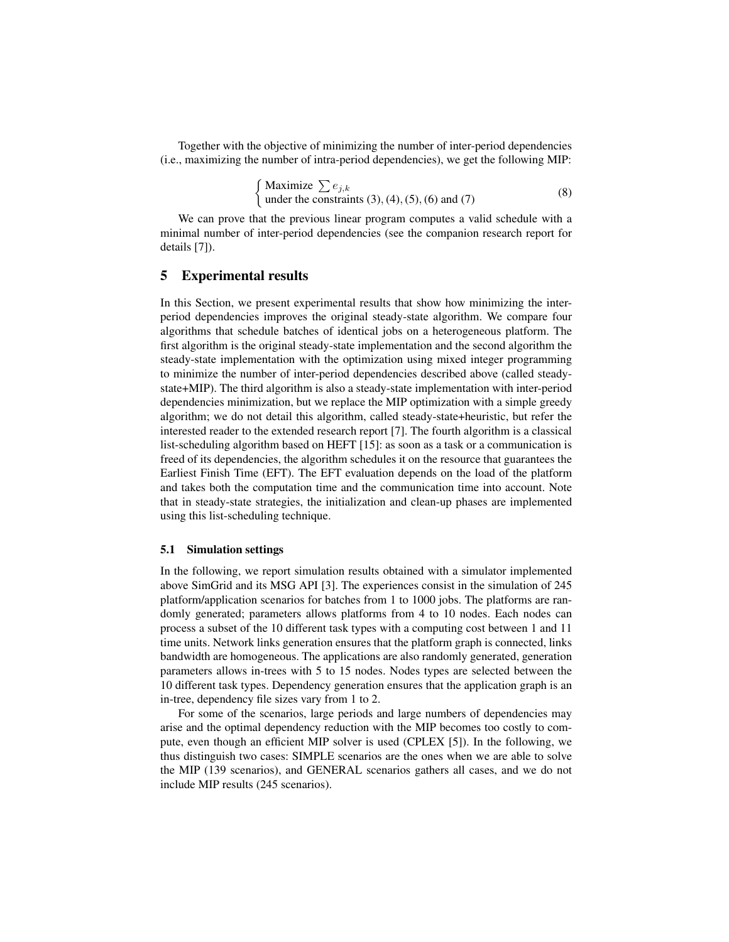Together with the objective of minimizing the number of inter-period dependencies (i.e., maximizing the number of intra-period dependencies), we get the following MIP:

$$
\begin{cases}\n\text{Maximize } \sum e_{j,k} \\
\text{under the constraints } (3), (4), (5), (6) \text{ and } (7)\n\end{cases} \tag{8}
$$

We can prove that the previous linear program computes a valid schedule with a minimal number of inter-period dependencies (see the companion research report for details [7]).

### 5 Experimental results

In this Section, we present experimental results that show how minimizing the interperiod dependencies improves the original steady-state algorithm. We compare four algorithms that schedule batches of identical jobs on a heterogeneous platform. The first algorithm is the original steady-state implementation and the second algorithm the steady-state implementation with the optimization using mixed integer programming to minimize the number of inter-period dependencies described above (called steadystate+MIP). The third algorithm is also a steady-state implementation with inter-period dependencies minimization, but we replace the MIP optimization with a simple greedy algorithm; we do not detail this algorithm, called steady-state+heuristic, but refer the interested reader to the extended research report [7]. The fourth algorithm is a classical list-scheduling algorithm based on HEFT [15]: as soon as a task or a communication is freed of its dependencies, the algorithm schedules it on the resource that guarantees the Earliest Finish Time (EFT). The EFT evaluation depends on the load of the platform and takes both the computation time and the communication time into account. Note that in steady-state strategies, the initialization and clean-up phases are implemented using this list-scheduling technique.

### 5.1 Simulation settings

In the following, we report simulation results obtained with a simulator implemented above SimGrid and its MSG API [3]. The experiences consist in the simulation of 245 platform/application scenarios for batches from 1 to 1000 jobs. The platforms are randomly generated; parameters allows platforms from 4 to 10 nodes. Each nodes can process a subset of the 10 different task types with a computing cost between 1 and 11 time units. Network links generation ensures that the platform graph is connected, links bandwidth are homogeneous. The applications are also randomly generated, generation parameters allows in-trees with 5 to 15 nodes. Nodes types are selected between the 10 different task types. Dependency generation ensures that the application graph is an in-tree, dependency file sizes vary from 1 to 2.

For some of the scenarios, large periods and large numbers of dependencies may arise and the optimal dependency reduction with the MIP becomes too costly to compute, even though an efficient MIP solver is used (CPLEX [5]). In the following, we thus distinguish two cases: SIMPLE scenarios are the ones when we are able to solve the MIP (139 scenarios), and GENERAL scenarios gathers all cases, and we do not include MIP results (245 scenarios).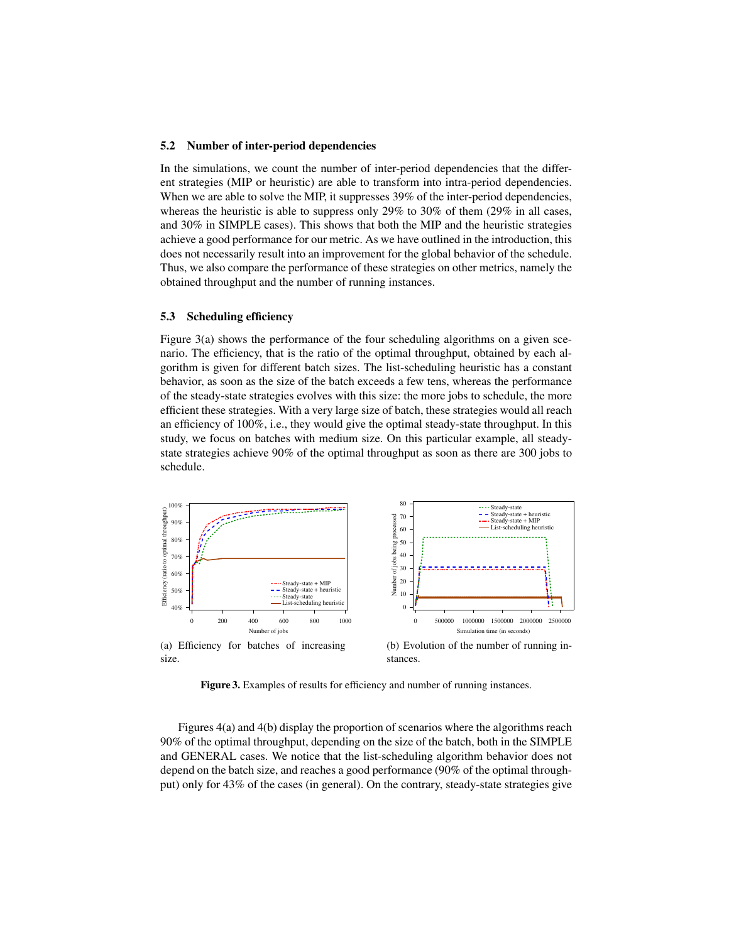### 5.2 Number of inter-period dependencies

In the simulations, we count the number of inter-period dependencies that the different strategies (MIP or heuristic) are able to transform into intra-period dependencies. When we are able to solve the MIP, it suppresses 39% of the inter-period dependencies, whereas the heuristic is able to suppress only 29% to 30% of them  $(29\%$  in all cases, and 30% in SIMPLE cases). This shows that both the MIP and the heuristic strategies achieve a good performance for our metric. As we have outlined in the introduction, this does not necessarily result into an improvement for the global behavior of the schedule. Thus, we also compare the performance of these strategies on other metrics, namely the obtained throughput and the number of running instances.

#### 5.3 Scheduling efficiency

Figure 3(a) shows the performance of the four scheduling algorithms on a given scenario. The efficiency, that is the ratio of the optimal throughput, obtained by each algorithm is given for different batch sizes. The list-scheduling heuristic has a constant behavior, as soon as the size of the batch exceeds a few tens, whereas the performance of the steady-state strategies evolves with this size: the more jobs to schedule, the more efficient these strategies. With a very large size of batch, these strategies would all reach an efficiency of 100%, i.e., they would give the optimal steady-state throughput. In this study, we focus on batches with medium size. On this particular example, all steadystate strategies achieve 90% of the optimal throughput as soon as there are 300 jobs to schedule.



Figure 3. Examples of results for efficiency and number of running instances.

Figures 4(a) and 4(b) display the proportion of scenarios where the algorithms reach 90% of the optimal throughput, depending on the size of the batch, both in the SIMPLE and GENERAL cases. We notice that the list-scheduling algorithm behavior does not depend on the batch size, and reaches a good performance (90% of the optimal throughput) only for 43% of the cases (in general). On the contrary, steady-state strategies give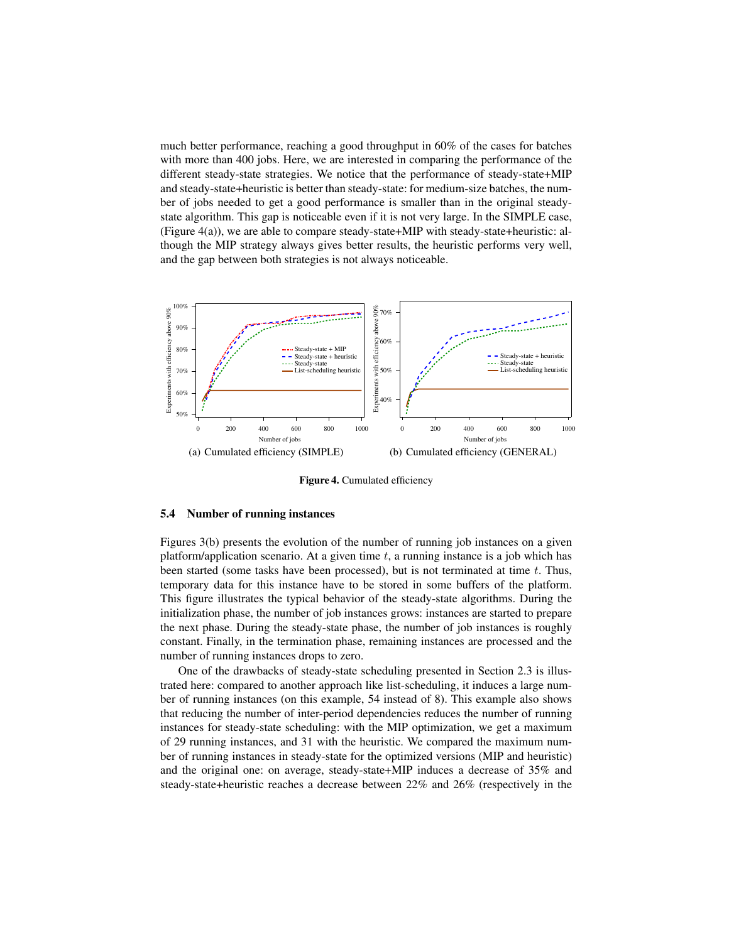much better performance, reaching a good throughput in 60% of the cases for batches with more than 400 jobs. Here, we are interested in comparing the performance of the different steady-state strategies. We notice that the performance of steady-state+MIP and steady-state+heuristic is better than steady-state: for medium-size batches, the number of jobs needed to get a good performance is smaller than in the original steadystate algorithm. This gap is noticeable even if it is not very large. In the SIMPLE case, (Figure  $4(a)$ ), we are able to compare steady-state+MIP with steady-state+heuristic: although the MIP strategy always gives better results, the heuristic performs very well, and the gap between both strategies is not always noticeable.



Figure 4. Cumulated efficiency

#### 5.4 Number of running instances

Figures 3(b) presents the evolution of the number of running job instances on a given platform/application scenario. At a given time  $t$ , a running instance is a job which has been started (some tasks have been processed), but is not terminated at time  $t$ . Thus, temporary data for this instance have to be stored in some buffers of the platform. This figure illustrates the typical behavior of the steady-state algorithms. During the initialization phase, the number of job instances grows: instances are started to prepare the next phase. During the steady-state phase, the number of job instances is roughly constant. Finally, in the termination phase, remaining instances are processed and the number of running instances drops to zero.

One of the drawbacks of steady-state scheduling presented in Section 2.3 is illustrated here: compared to another approach like list-scheduling, it induces a large number of running instances (on this example, 54 instead of 8). This example also shows that reducing the number of inter-period dependencies reduces the number of running instances for steady-state scheduling: with the MIP optimization, we get a maximum of 29 running instances, and 31 with the heuristic. We compared the maximum number of running instances in steady-state for the optimized versions (MIP and heuristic) and the original one: on average, steady-state+MIP induces a decrease of 35% and steady-state+heuristic reaches a decrease between 22% and 26% (respectively in the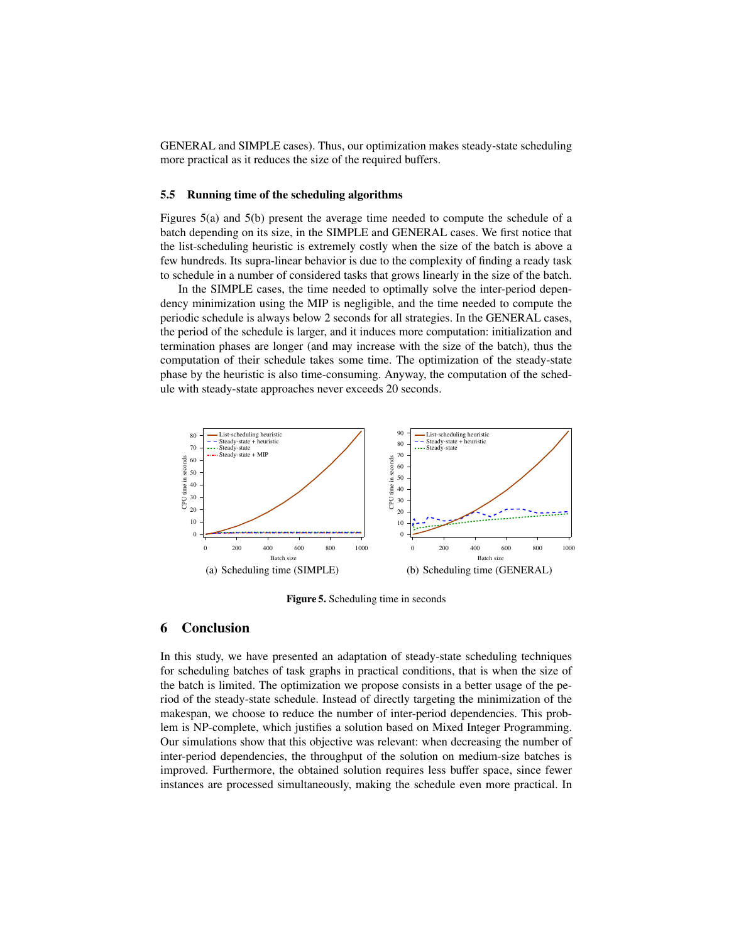GENERAL and SIMPLE cases). Thus, our optimization makes steady-state scheduling more practical as it reduces the size of the required buffers.

### 5.5 Running time of the scheduling algorithms

Figures 5(a) and 5(b) present the average time needed to compute the schedule of a batch depending on its size, in the SIMPLE and GENERAL cases. We first notice that the list-scheduling heuristic is extremely costly when the size of the batch is above a few hundreds. Its supra-linear behavior is due to the complexity of finding a ready task to schedule in a number of considered tasks that grows linearly in the size of the batch.

In the SIMPLE cases, the time needed to optimally solve the inter-period dependency minimization using the MIP is negligible, and the time needed to compute the periodic schedule is always below 2 seconds for all strategies. In the GENERAL cases, the period of the schedule is larger, and it induces more computation: initialization and termination phases are longer (and may increase with the size of the batch), thus the computation of their schedule takes some time. The optimization of the steady-state phase by the heuristic is also time-consuming. Anyway, the computation of the schedule with steady-state approaches never exceeds 20 seconds.



Figure 5. Scheduling time in seconds

## 6 Conclusion

In this study, we have presented an adaptation of steady-state scheduling techniques for scheduling batches of task graphs in practical conditions, that is when the size of the batch is limited. The optimization we propose consists in a better usage of the period of the steady-state schedule. Instead of directly targeting the minimization of the makespan, we choose to reduce the number of inter-period dependencies. This problem is NP-complete, which justifies a solution based on Mixed Integer Programming. Our simulations show that this objective was relevant: when decreasing the number of inter-period dependencies, the throughput of the solution on medium-size batches is improved. Furthermore, the obtained solution requires less buffer space, since fewer instances are processed simultaneously, making the schedule even more practical. In